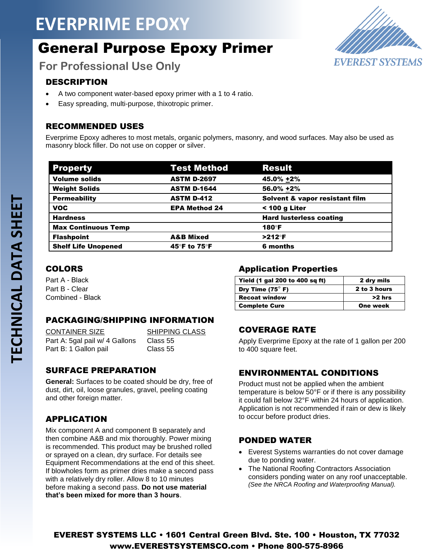## **EVERPRIME EPOXY**

## General Purpose Epoxy Primer

**EVEREST SYSTEMS** 

**For Professional Use Only**

#### DESCRIPTION

- A two component water-based epoxy primer with a 1 to 4 ratio.
- Easy spreading, multi-purpose, thixotropic primer.

#### RECOMMENDED USES

Everprime Epoxy adheres to most metals, organic polymers, masonry, and wood surfaces. May also be used as masonry block filler. Do not use on copper or silver.

| <b>Property</b>            | <b>Test Method</b>   | <b>Result</b>                  |
|----------------------------|----------------------|--------------------------------|
| <b>Volume solids</b>       | <b>ASTM D-2697</b>   | 45.0% +2%                      |
| <b>Weight Solids</b>       | <b>ASTM D-1644</b>   | 56.0% +2%                      |
| <b>Permeability</b>        | <b>ASTM D-412</b>    | Solvent & vapor resistant film |
| <b>VOC</b>                 | <b>EPA Method 24</b> | < 100 g Liter                  |
| <b>Hardness</b>            |                      | <b>Hard lusterless coating</b> |
| <b>Max Continuous Temp</b> |                      | 180°F                          |
| <b>Flashpoint</b>          | <b>A&amp;B Mixed</b> | $>212^\circ F$                 |
| <b>Shelf Life Unopened</b> | 45°F to 75°F         | 6 months                       |

#### COLORS

Part A - Black Part B - Clear Combined - Black

#### PACKAGING/SHIPPING INFORMATION

| CONTAINER SIZE                 | <b>SHIPPING CLASS</b> |
|--------------------------------|-----------------------|
| Part A: 5gal pail w/ 4 Gallons | Class 55              |
| Part B: 1 Gallon pail          | Class 55              |

#### SURFACE PREPARATION

**General:** Surfaces to be coated should be dry, free of dust, dirt, oil, loose granules, gravel, peeling coating and other foreign matter.

#### APPLICATION

Mix component A and component B separately and then combine A&B and mix thoroughly. Power mixing is recommended. This product may be brushed rolled or sprayed on a clean, dry surface. For details see Equipment Recommendations at the end of this sheet. If blowholes form as primer dries make a second pass with a relatively dry roller. Allow 8 to 10 minutes before making a second pass. **Do not use material that's been mixed for more than 3 hours**.

#### Application Properties

| Yield (1 gal 200 to 400 sq ft) | 2 dry mils   |
|--------------------------------|--------------|
| Dry Time $(75^\circ)$ F)       | 2 to 3 hours |
| <b>Recoat window</b>           | >2 hrs       |
| <b>Complete Cure</b>           | One week     |

#### COVERAGE RATE

Apply Everprime Epoxy at the rate of 1 gallon per 200 to 400 square feet.

#### ENVIRONMENTAL CONDITIONS

Product must not be applied when the ambient temperature is below 50°F or if there is any possibility it could fall below 32°F within 24 hours of application. Application is not recommended if rain or dew is likely to occur before product dries.

#### PONDED WATER

- Everest Systems warranties do not cover damage due to ponding water.
- The National Roofing Contractors Association considers ponding water on any roof unacceptable. *(See the NRCA Roofing and Waterproofing Manual).*

EVEREST SYSTEMS LLC • 1601 Central Green Blvd. Ste. 100 • Houston, TX 77032 www.EVERESTSYSTEMSCO.com • Phone 800-575-8966